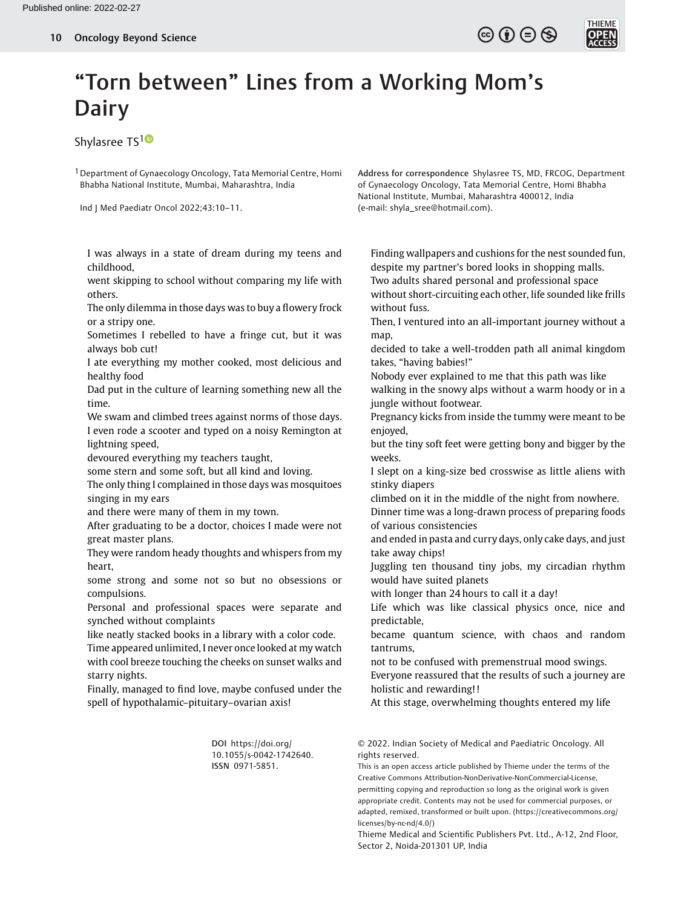

## "Torn between" Lines from a Working Mom's Dairy

Shylasree TS<sup>[1](https://orcid.org/0000-0001-8683-0686)0</sup>

1Department of Gynaecology Oncology, Tata Memorial Centre, Homi Bhabha National Institute, Mumbai, Maharashtra, India

Ind J Med Paediatr Oncol 2022;43:10–11.

Address for correspondence Shylasree TS, MD, FRCOG, Department of Gynaecology Oncology, Tata Memorial Centre, Homi Bhabha National Institute, Mumbai, Maharashtra 400012, India (e-mail: [shyla\\_sree@hotmail.com\)](mailto:shyla_sree@hotmail.com).

I was always in a state of dream during my teens and childhood,

went skipping to school without comparing my life with others.

The only dilemma in those days was to buy a flowery frock or a stripy one.

Sometimes I rebelled to have a fringe cut, but it was always bob cut!

I ate everything my mother cooked, most delicious and healthy food

Dad put in the culture of learning something new all the time.

We swam and climbed trees against norms of those days. I even rode a scooter and typed on a noisy Remington at lightning speed,

devoured everything my teachers taught,

some stern and some soft, but all kind and loving.

The only thing I complained in those days was mosquitoes singing in my ears

and there were many of them in my town.

After graduating to be a doctor, choices I made were not great master plans.

They were random heady thoughts and whispers from my heart,

some strong and some not so but no obsessions or compulsions.

Personal and professional spaces were separate and synched without complaints

like neatly stacked books in a library with a color code.

Time appeared unlimited, I never once looked at my watch with cool breeze touching the cheeks on sunset walks and starry nights.

Finally, managed to find love, maybe confused under the spell of hypothalamic–pituitary–ovarian axis!

> DOI [https://doi.org/](https://doi.org/10.1055/s-0042-1742640) [10.1055/s-0042-1742640](https://doi.org/10.1055/s-0042-1742640). ISSN 0971-5851.

Finding wallpapers and cushions for the nest sounded fun, despite my partner's bored looks in shopping malls. Two adults shared personal and professional space without short-circuiting each other, life sounded like frills without fuss.

Then, I ventured into an all-important journey without a map,

decided to take a well-trodden path all animal kingdom takes, "having babies!"

Nobody ever explained to me that this path was like

walking in the snowy alps without a warm hoody or in a jungle without footwear.

Pregnancy kicks from inside the tummy were meant to be enjoyed,

but the tiny soft feet were getting bony and bigger by the weeks.

I slept on a king-size bed crosswise as little aliens with stinky diapers

climbed on it in the middle of the night from nowhere.

Dinner time was a long-drawn process of preparing foods of various consistencies

and ended in pasta and curry days, only cake days, and just take away chips!

Juggling ten thousand tiny jobs, my circadian rhythm would have suited planets

with longer than 24 hours to call it a day!

Life which was like classical physics once, nice and predictable,

became quantum science, with chaos and random tantrums,

not to be confused with premenstrual mood swings. Everyone reassured that the results of such a journey are holistic and rewarding!!

At this stage, overwhelming thoughts entered my life

© 2022. Indian Society of Medical and Paediatric Oncology. All rights reserved.

This is an open access article published by Thieme under the terms of the Creative Commons Attribution-NonDerivative-NonCommercial-License, permitting copying and reproduction so long as the original work is given appropriate credit. Contents may not be used for commercial purposes, or adapted, remixed, transformed or built upon. (https://creativecommons.org/ licenses/by-nc-nd/4.0/)

Thieme Medical and Scientific Publishers Pvt. Ltd., A-12, 2nd Floor, Sector 2, Noida-201301 UP, India